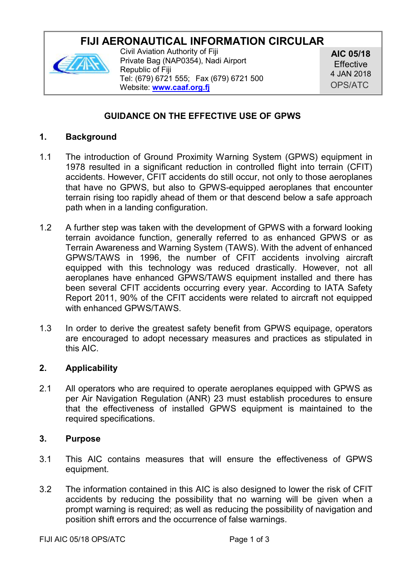# **FIJI AFRONAUTICAL INFORMATION CIRCULAR**



Civil Aviation Authority of Fiji Private Bag (NAP0354), Nadi Airport Republic of Fiji Tel: (679) 6721 555; Fax (679) 6721 500 Website: **[www.caaf.org.fj](http://www.caaf.org.fj/)**

**AIC 05/18 Effective** 4 JAN 2018 OPS/ATC

# **GUIDANCE ON THE EFFECTIVE USE OF GPWS**

#### **1. Background**

- 1.1 The introduction of Ground Proximity Warning System (GPWS) equipment in 1978 resulted in a significant reduction in controlled flight into terrain (CFIT) accidents. However, CFIT accidents do still occur, not only to those aeroplanes that have no GPWS, but also to GPWS-equipped aeroplanes that encounter terrain rising too rapidly ahead of them or that descend below a safe approach path when in a landing configuration.
- 1.2 A further step was taken with the development of GPWS with a forward looking terrain avoidance function, generally referred to as enhanced GPWS or as Terrain Awareness and Warning System (TAWS). With the advent of enhanced GPWS/TAWS in 1996, the number of CFIT accidents involving aircraft equipped with this technology was reduced drastically. However, not all aeroplanes have enhanced GPWS/TAWS equipment installed and there has been several CFIT accidents occurring every year. According to IATA Safety Report 2011, 90% of the CFIT accidents were related to aircraft not equipped with enhanced GPWS/TAWS.
- 1.3 In order to derive the greatest safety benefit from GPWS equipage, operators are encouraged to adopt necessary measures and practices as stipulated in this AIC.

# **2. Applicability**

2.1 All operators who are required to operate aeroplanes equipped with GPWS as per Air Navigation Regulation (ANR) 23 must establish procedures to ensure that the effectiveness of installed GPWS equipment is maintained to the required specifications.

#### **3. Purpose**

- 3.1 This AIC contains measures that will ensure the effectiveness of GPWS equipment.
- 3.2 The information contained in this AIC is also designed to lower the risk of CFIT accidents by reducing the possibility that no warning will be given when a prompt warning is required; as well as reducing the possibility of navigation and position shift errors and the occurrence of false warnings.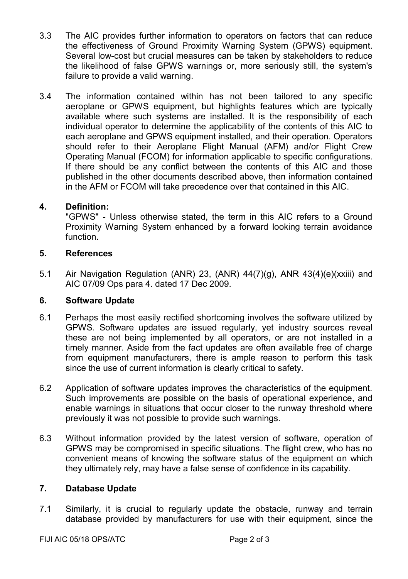- 3.3 The AIC provides further information to operators on factors that can reduce the effectiveness of Ground Proximity Warning System (GPWS) equipment. Several low-cost but crucial measures can be taken by stakeholders to reduce the likelihood of false GPWS warnings or, more seriously still, the system's failure to provide a valid warning.
- 3.4 The information contained within has not been tailored to any specific aeroplane or GPWS equipment, but highlights features which are typically available where such systems are installed. It is the responsibility of each individual operator to determine the applicability of the contents of this AIC to each aeroplane and GPWS equipment installed, and their operation. Operators should refer to their Aeroplane Flight Manual (AFM) and/or Flight Crew Operating Manual (FCOM) for information applicable to specific configurations. If there should be any conflict between the contents of this AIC and those published in the other documents described above, then information contained in the AFM or FCOM will take precedence over that contained in this AIC.

#### **4. Definition:**

"GPWS" - Unless otherwise stated, the term in this AIC refers to a Ground Proximity Warning System enhanced by a forward looking terrain avoidance function.

#### **5. References**

5.1 Air Navigation Regulation (ANR) 23, (ANR) 44(7)(g), ANR 43(4)(e)(xxiii) and AIC 07/09 Ops para 4. dated 17 Dec 2009.

# **6. Software Update**

- 6.1 Perhaps the most easily rectified shortcoming involves the software utilized by GPWS. Software updates are issued regularly, yet industry sources reveal these are not being implemented by all operators, or are not installed in a timely manner. Aside from the fact updates are often available free of charge from equipment manufacturers, there is ample reason to perform this task since the use of current information is clearly critical to safety.
- 6.2 Application of software updates improves the characteristics of the equipment. Such improvements are possible on the basis of operational experience, and enable warnings in situations that occur closer to the runway threshold where previously it was not possible to provide such warnings.
- 6.3 Without information provided by the latest version of software, operation of GPWS may be compromised in specific situations. The flight crew, who has no convenient means of knowing the software status of the equipment on which they ultimately rely, may have a false sense of confidence in its capability.

#### **7. Database Update**

7.1 Similarly, it is crucial to regularly update the obstacle, runway and terrain database provided by manufacturers for use with their equipment, since the

FIJI AIC 05/18 OPS/ATC Page 2 of 3